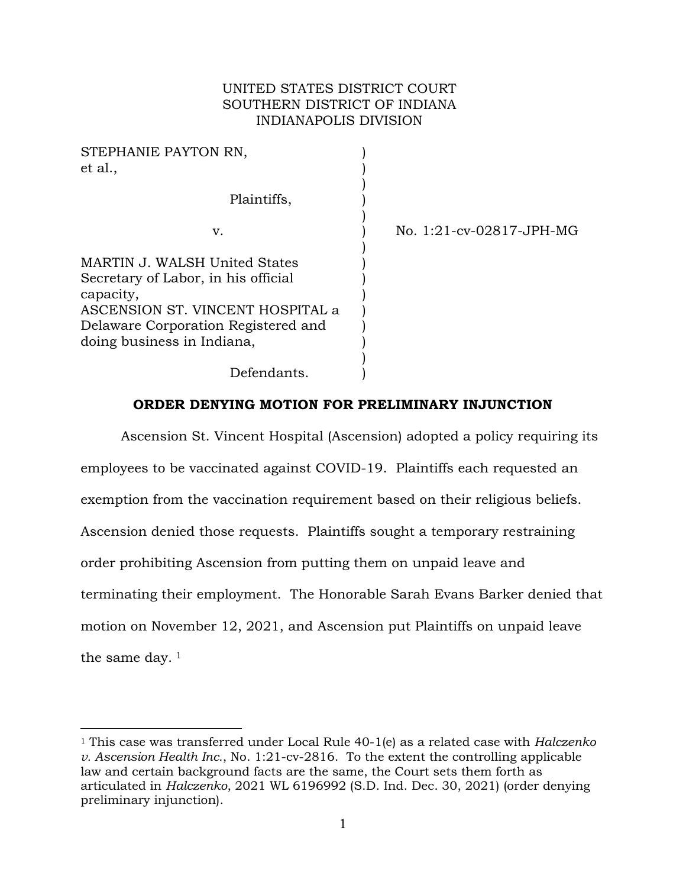# UNITED STATES DISTRICT COURT SOUTHERN DISTRICT OF INDIANA INDIANAPOLIS DIVISION

| STEPHANIE PAYTON RN,<br>et al.,                                                                                                                                                            |                          |
|--------------------------------------------------------------------------------------------------------------------------------------------------------------------------------------------|--------------------------|
| Plaintiffs,                                                                                                                                                                                |                          |
| v.                                                                                                                                                                                         | No. 1:21-cv-02817-JPH-MG |
| MARTIN J. WALSH United States<br>Secretary of Labor, in his official<br>capacity,<br>ASCENSION ST. VINCENT HOSPITAL a<br>Delaware Corporation Registered and<br>doing business in Indiana, |                          |
| Defendants.                                                                                                                                                                                |                          |

# **ORDER DENYING MOTION FOR PRELIMINARY INJUNCTION**

Ascension St. Vincent Hospital (Ascension) adopted a policy requiring its employees to be vaccinated against COVID-19. Plaintiffs each requested an exemption from the vaccination requirement based on their religious beliefs. Ascension denied those requests. Plaintiffs sought a temporary restraining order prohibiting Ascension from putting them on unpaid leave and terminating their employment. The Honorable Sarah Evans Barker denied that motion on November 12, 2021, and Ascension put Plaintiffs on unpaid leave the same day.<sup>[1](#page-0-0)</sup>

<span id="page-0-0"></span><sup>1</sup> This case was transferred under Local Rule 40-1(e) as a related case with *Halczenko v. Ascension Health Inc.*, No. 1:21-cv-2816. To the extent the controlling applicable law and certain background facts are the same, the Court sets them forth as articulated in *Halczenko*, 2021 WL 6196992 (S.D. Ind. Dec. 30, 2021) (order denying preliminary injunction).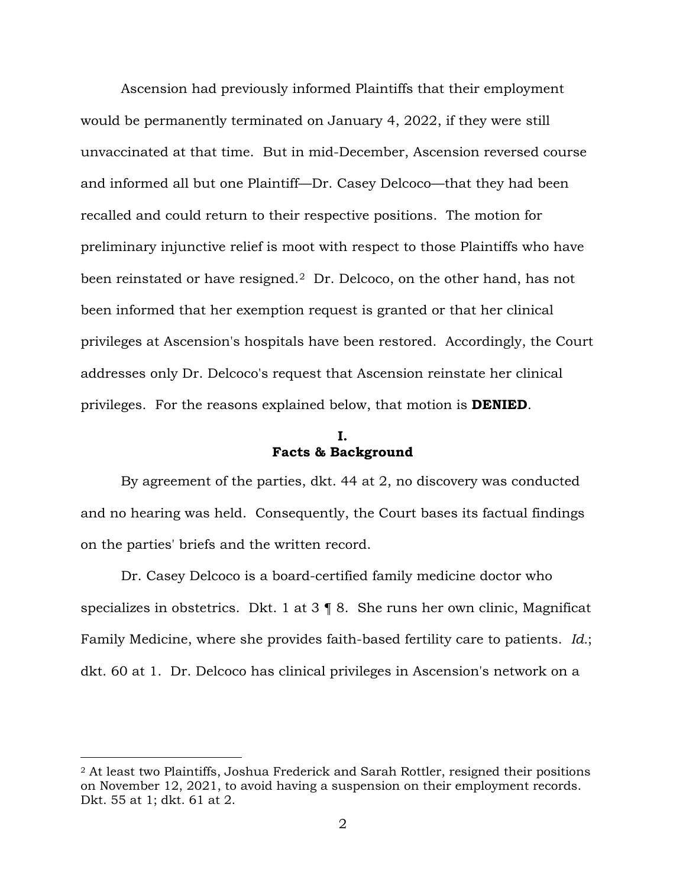Ascension had previously informed Plaintiffs that their employment would be permanently terminated on January 4, 2022, if they were still unvaccinated at that time. But in mid-December, Ascension reversed course and informed all but one Plaintiff—Dr. Casey Delcoco—that they had been recalled and could return to their respective positions. The motion for preliminary injunctive relief is moot with respect to those Plaintiffs who have been reinstated or have resigned.<sup>[2](#page-1-0)</sup> Dr. Delcoco, on the other hand, has not been informed that her exemption request is granted or that her clinical privileges at Ascension's hospitals have been restored. Accordingly, the Court addresses only Dr. Delcoco's request that Ascension reinstate her clinical privileges. For the reasons explained below, that motion is **DENIED**.

### **I. Facts & Background**

By agreement of the parties, dkt. 44 at 2, no discovery was conducted and no hearing was held. Consequently, the Court bases its factual findings on the parties' briefs and the written record.

Dr. Casey Delcoco is a board-certified family medicine doctor who specializes in obstetrics. Dkt. 1 at 3 ¶ 8. She runs her own clinic, Magnificat Family Medicine, where she provides faith-based fertility care to patients. *Id.*; dkt. 60 at 1. Dr. Delcoco has clinical privileges in Ascension's network on a

<span id="page-1-0"></span><sup>2</sup> At least two Plaintiffs, Joshua Frederick and Sarah Rottler, resigned their positions on November 12, 2021, to avoid having a suspension on their employment records. Dkt. 55 at 1; dkt. 61 at 2.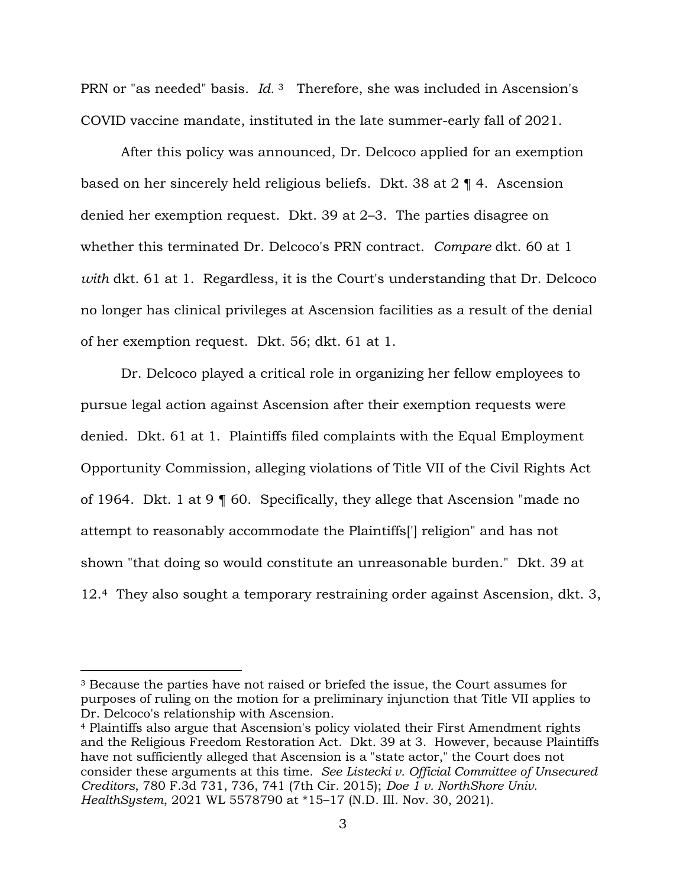PRN or "as needed" basis. *Id.* [3](#page-2-0) Therefore, she was included in Ascension's COVID vaccine mandate, instituted in the late summer-early fall of 2021.

After this policy was announced, Dr. Delcoco applied for an exemption based on her sincerely held religious beliefs. Dkt. 38 at 2 ¶ 4. Ascension denied her exemption request. Dkt. 39 at 2–3. The parties disagree on whether this terminated Dr. Delcoco's PRN contract. *Compare* dkt. 60 at 1 *with* dkt. 61 at 1. Regardless, it is the Court's understanding that Dr. Delcoco no longer has clinical privileges at Ascension facilities as a result of the denial of her exemption request. Dkt. 56; dkt. 61 at 1.

Dr. Delcoco played a critical role in organizing her fellow employees to pursue legal action against Ascension after their exemption requests were denied. Dkt. 61 at 1. Plaintiffs filed complaints with the Equal Employment Opportunity Commission, alleging violations of Title VII of the Civil Rights Act of 1964. Dkt. 1 at 9 ¶ 60. Specifically, they allege that Ascension "made no attempt to reasonably accommodate the Plaintiffs['] religion" and has not shown "that doing so would constitute an unreasonable burden." Dkt. 39 at 12.[4](#page-2-1) They also sought a temporary restraining order against Ascension, dkt. 3,

<span id="page-2-0"></span><sup>3</sup> Because the parties have not raised or briefed the issue, the Court assumes for purposes of ruling on the motion for a preliminary injunction that Title VII applies to Dr. Delcoco's relationship with Ascension. 4 Plaintiffs also argue that Ascension's policy violated their First Amendment rights

<span id="page-2-1"></span>and the Religious Freedom Restoration Act. Dkt. 39 at 3. However, because Plaintiffs have not sufficiently alleged that Ascension is a "state actor," the Court does not consider these arguments at this time. *See Listecki v. Official Committee of Unsecured Creditors*, 780 F.3d 731, 736, 741 (7th Cir. 2015); *Doe 1 v. NorthShore Univ. HealthSystem*, 2021 WL 5578790 at \*15–17 (N.D. Ill. Nov. 30, 2021).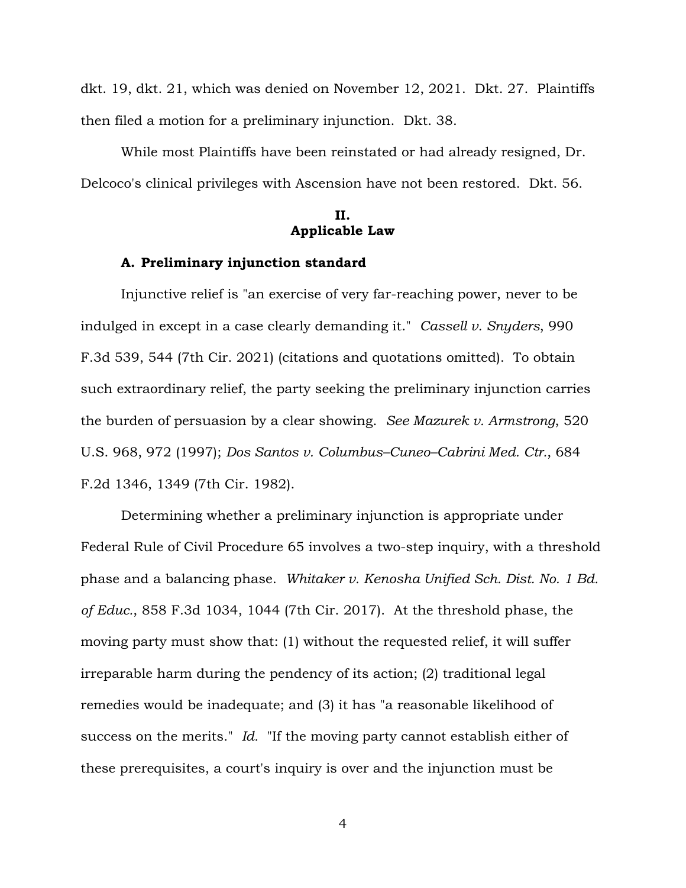dkt. 19, dkt. 21, which was denied on November 12, 2021. Dkt. 27. Plaintiffs then filed a motion for a preliminary injunction. Dkt. 38.

While most Plaintiffs have been reinstated or had already resigned, Dr. Delcoco's clinical privileges with Ascension have not been restored. Dkt. 56.

# **II. Applicable Law**

### **A. Preliminary injunction standard**

Injunctive relief is "an exercise of very far-reaching power, never to be indulged in except in a case clearly demanding it." *Cassell v. Snyders*, 990 F.3d 539, 544 (7th Cir. 2021) (citations and quotations omitted). To obtain such extraordinary relief, the party seeking the preliminary injunction carries the burden of persuasion by a clear showing. *See Mazurek v. Armstrong*, 520 U.S. 968, 972 (1997); *Dos Santos v. Columbus–Cuneo–Cabrini Med. Ctr.*, 684 F.2d 1346, 1349 (7th Cir. 1982).

Determining whether a preliminary injunction is appropriate under Federal Rule of Civil Procedure 65 involves a two-step inquiry, with a threshold phase and a balancing phase. *Whitaker v. Kenosha Unified Sch. Dist. No. 1 Bd. of Educ.*, 858 F.3d 1034, 1044 (7th Cir. 2017). At the threshold phase, the moving party must show that: (1) without the requested relief, it will suffer irreparable harm during the pendency of its action; (2) traditional legal remedies would be inadequate; and (3) it has "a reasonable likelihood of success on the merits." *Id.* "If the moving party cannot establish either of these prerequisites, a court's inquiry is over and the injunction must be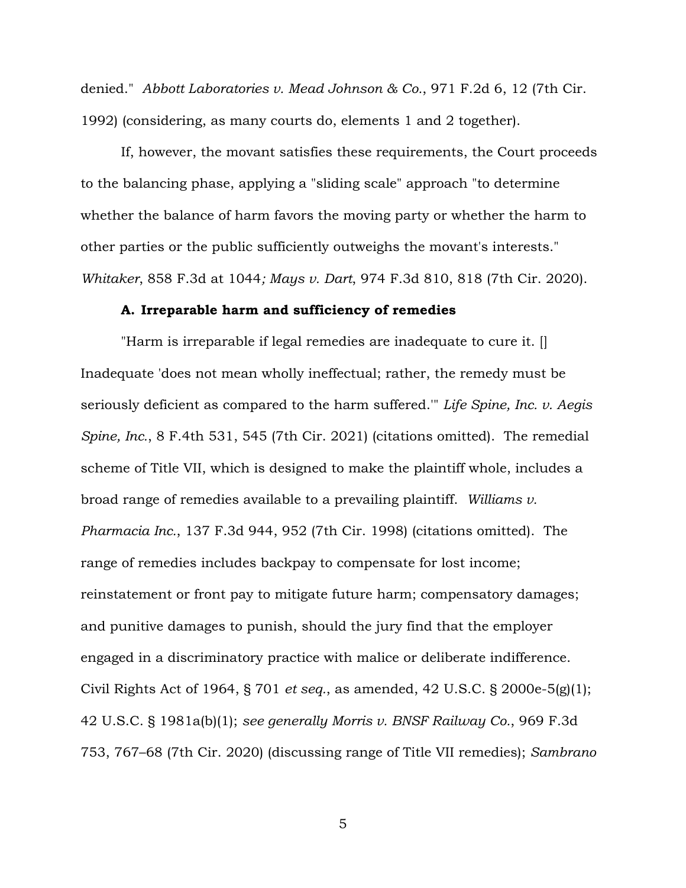denied." *Abbott Laboratories v. Mead Johnson & Co.*, 971 F.2d 6, 12 (7th Cir. 1992) (considering, as many courts do, elements 1 and 2 together).

If, however, the movant satisfies these requirements, the Court proceeds to the balancing phase, applying a "sliding scale" approach "to determine whether the balance of harm favors the moving party or whether the harm to other parties or the public sufficiently outweighs the movant's interests." *Whitaker*, 858 F.3d at 1044*; Mays v. Dart*, 974 F.3d 810, 818 (7th Cir. 2020).

### **A. Irreparable harm and sufficiency of remedies**

"Harm is irreparable if legal remedies are inadequate to cure it. [] Inadequate 'does not mean wholly ineffectual; rather, the remedy must be seriously deficient as compared to the harm suffered.'" *Life Spine, Inc. v. Aegis Spine, Inc.*, 8 F.4th 531, 545 (7th Cir. 2021) (citations omitted). The remedial scheme of Title VII, which is designed to make the plaintiff whole, includes a broad range of remedies available to a prevailing plaintiff. *Williams v. Pharmacia Inc.*, 137 F.3d 944, 952 (7th Cir. 1998) (citations omitted). The range of remedies includes backpay to compensate for lost income; reinstatement or front pay to mitigate future harm; compensatory damages; and punitive damages to punish, should the jury find that the employer engaged in a discriminatory practice with malice or deliberate indifference. Civil Rights Act of 1964, § 701 *et seq.*, as amended, 42 U.S.C. § 2000e-5(g)(1); 42 U.S.C. § 1981a(b)(1); *see generally Morris v. BNSF Railway Co.*, 969 F.3d 753, 767–68 (7th Cir. 2020) (discussing range of Title VII remedies); *Sambrano*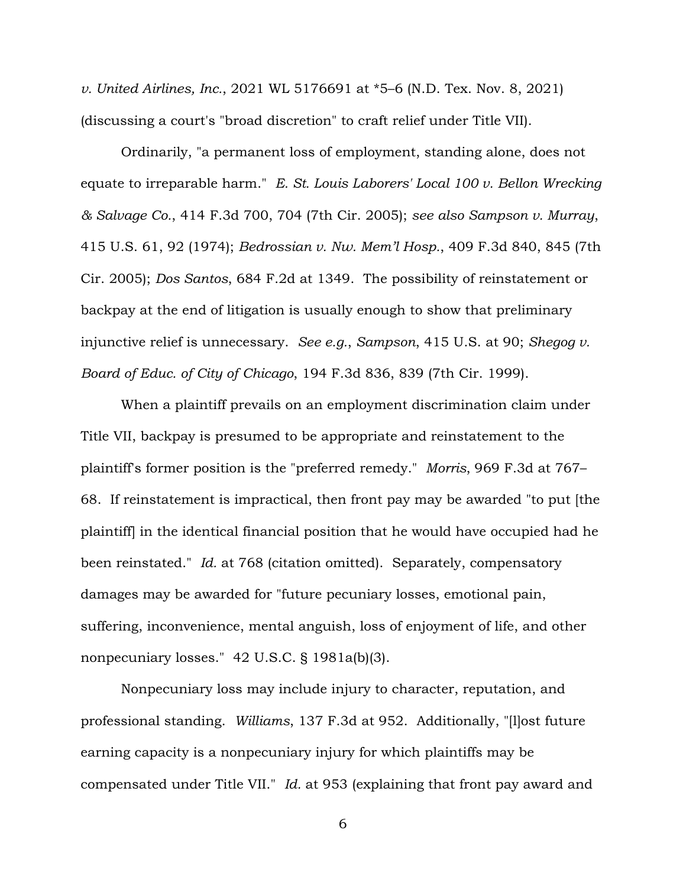*v. United Airlines, Inc.*, 2021 WL 5176691 at \*5–6 (N.D. Tex. Nov. 8, 2021) (discussing a court's "broad discretion" to craft relief under Title VII).

Ordinarily, "a permanent loss of employment, standing alone, does not equate to irreparable harm." *E. St. Louis Laborers' Local 100 v. Bellon Wrecking & Salvage Co.*, 414 F.3d 700, 704 (7th Cir. 2005); *see also Sampson v. Murray*, 415 U.S. 61, 92 (1974); *Bedrossian v. Nw. Mem'l Hosp.*, 409 F.3d 840, 845 (7th Cir. 2005); *Dos Santos*, 684 F.2d at 1349. The possibility of reinstatement or backpay at the end of litigation is usually enough to show that preliminary injunctive relief is unnecessary. *See e.g.*, *Sampson*, 415 U.S. at 90; *Shegog v. Board of Educ. of City of Chicago*, 194 F.3d 836, 839 (7th Cir. 1999).

When a plaintiff prevails on an employment discrimination claim under Title VII, backpay is presumed to be appropriate and reinstatement to the plaintiff's former position is the "preferred remedy." *Morris*, 969 F.3d at 767– 68. If reinstatement is impractical, then front pay may be awarded "to put [the plaintiff] in the identical financial position that he would have occupied had he been reinstated." *Id.* at 768 (citation omitted). Separately, compensatory damages may be awarded for "future pecuniary losses, emotional pain, suffering, inconvenience, mental anguish, loss of enjoyment of life, and other nonpecuniary losses." 42 U.S.C. § 1981a(b)(3).

Nonpecuniary loss may include injury to character, reputation, and professional standing. *Williams*, 137 F.3d at 952. Additionally, "[l]ost future earning capacity is a nonpecuniary injury for which plaintiffs may be compensated under Title VII." *Id.* at 953 (explaining that front pay award and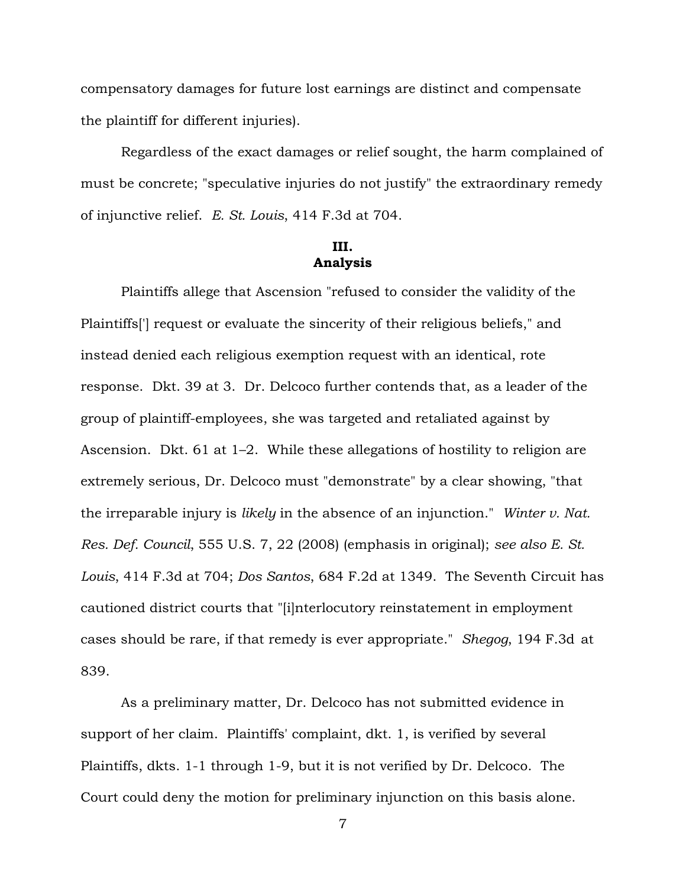compensatory damages for future lost earnings are distinct and compensate the plaintiff for different injuries).

Regardless of the exact damages or relief sought, the harm complained of must be concrete; "speculative injuries do not justify" the extraordinary remedy of injunctive relief. *E. St. Louis*, 414 F.3d at 704.

# **III. Analysis**

Plaintiffs allege that Ascension "refused to consider the validity of the Plaintiffs['] request or evaluate the sincerity of their religious beliefs," and instead denied each religious exemption request with an identical, rote response. Dkt. 39 at 3. Dr. Delcoco further contends that, as a leader of the group of plaintiff-employees, she was targeted and retaliated against by Ascension. Dkt. 61 at 1–2. While these allegations of hostility to religion are extremely serious, Dr. Delcoco must "demonstrate" by a clear showing, "that the irreparable injury is *likely* in the absence of an injunction." *Winter v. Nat. Res. Def. Council*, 555 U.S. 7, 22 (2008) (emphasis in original); *see also E. St. Louis*, 414 F.3d at 704; *Dos Santos*, 684 F.2d at 1349. The Seventh Circuit has cautioned district courts that "[i]nterlocutory reinstatement in employment cases should be rare, if that remedy is ever appropriate." *Shegog*, 194 F.3d [at](http://scholar.google.com/scholar?q=194%2Bf.3d%2B%2B836&btnG&hl=en&as_sdt=6)  [839.](http://scholar.google.com/scholar?q=194%2Bf.3d%2B%2B836&btnG&hl=en&as_sdt=6)

As a preliminary matter, Dr. Delcoco has not submitted evidence in support of her claim. Plaintiffs' complaint, dkt. 1, is verified by several Plaintiffs, dkts. 1-1 through 1-9, but it is not verified by Dr. Delcoco. The Court could deny the motion for preliminary injunction on this basis alone.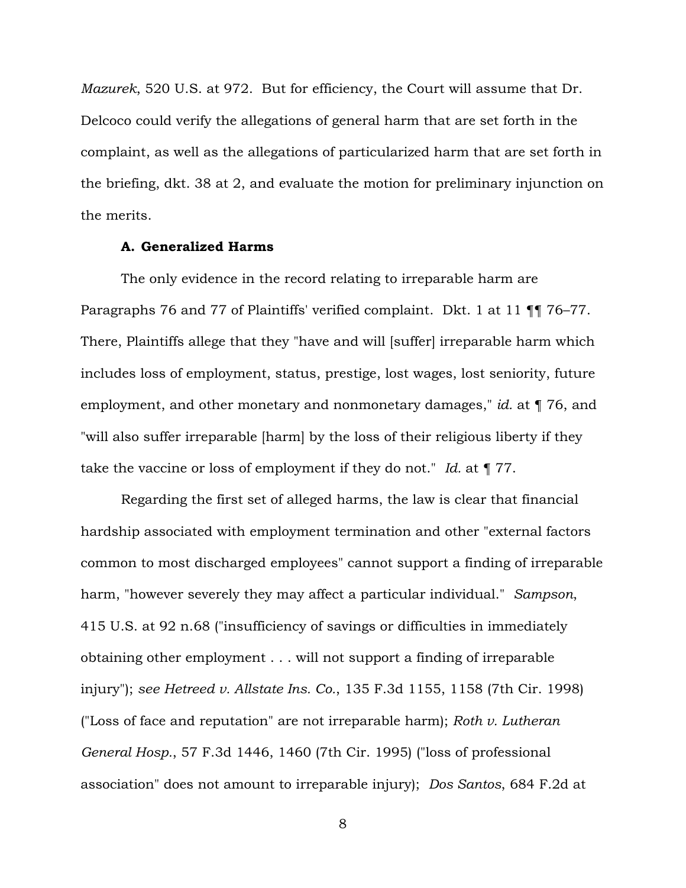*Mazurek*, 520 U.S. at 972. But for efficiency, the Court will assume that Dr. Delcoco could verify the allegations of general harm that are set forth in the complaint, as well as the allegations of particularized harm that are set forth in the briefing, dkt. 38 at 2, and evaluate the motion for preliminary injunction on the merits.

## **A. Generalized Harms**

The only evidence in the record relating to irreparable harm are Paragraphs 76 and 77 of Plaintiffs' verified complaint. Dkt. 1 at 11 ¶¶ 76–77. There, Plaintiffs allege that they "have and will [suffer] irreparable harm which includes loss of employment, status, prestige, lost wages, lost seniority, future employment, and other monetary and nonmonetary damages," *id.* at ¶ 76, and "will also suffer irreparable [harm] by the loss of their religious liberty if they take the vaccine or loss of employment if they do not." *Id.* at ¶ 77.

Regarding the first set of alleged harms, the law is clear that financial hardship associated with employment termination and other "external factors common to most discharged employees" cannot support a finding of irreparable harm, "however severely they may affect a particular individual." *Sampson*, 415 U.S. at 92 n.68 ("insufficiency of savings or difficulties in immediately obtaining other employment . . . will not support a finding of irreparable injury"); *see Hetreed v. Allstate Ins. Co.*, 135 F.3d 1155, 1158 (7th Cir. 1998) ("Loss of face and reputation" are not irreparable harm); *Roth v. Lutheran General Hosp.*, 57 F.3d 1446, 1460 (7th Cir. 1995) ("loss of professional association" does not amount to irreparable injury); *Dos Santos*, 684 F.2d at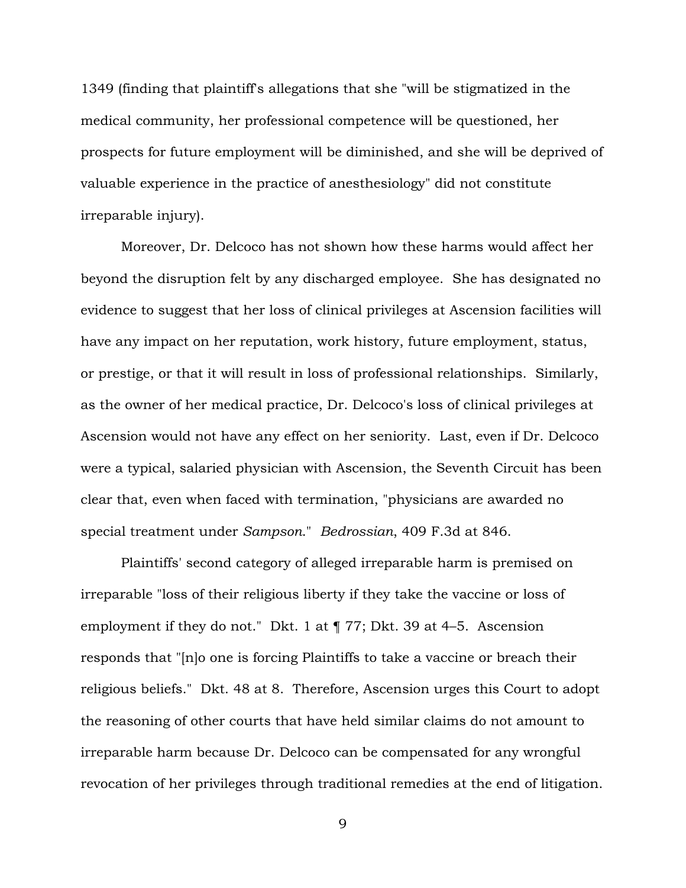1349 (finding that plaintiff's allegations that she "will be stigmatized in the medical community, her professional competence will be questioned, her prospects for future employment will be diminished, and she will be deprived of valuable experience in the practice of anesthesiology" did not constitute irreparable injury).

Moreover, Dr. Delcoco has not shown how these harms would affect her beyond the disruption felt by any discharged employee. She has designated no evidence to suggest that her loss of clinical privileges at Ascension facilities will have any impact on her reputation, work history, future employment, status, or prestige, or that it will result in loss of professional relationships. Similarly, as the owner of her medical practice, Dr. Delcoco's loss of clinical privileges at Ascension would not have any effect on her seniority. Last, even if Dr. Delcoco were a typical, salaried physician with Ascension, the Seventh Circuit has been clear that, even when faced with termination, "physicians are awarded no special treatment under *Sampson*." *Bedrossian*, 409 F.3d at 846.

Plaintiffs' second category of alleged irreparable harm is premised on irreparable "loss of their religious liberty if they take the vaccine or loss of employment if they do not." Dkt. 1 at ¶ 77; Dkt. 39 at 4–5. Ascension responds that "[n]o one is forcing Plaintiffs to take a vaccine or breach their religious beliefs." Dkt. 48 at 8. Therefore, Ascension urges this Court to adopt the reasoning of other courts that have held similar claims do not amount to irreparable harm because Dr. Delcoco can be compensated for any wrongful revocation of her privileges through traditional remedies at the end of litigation.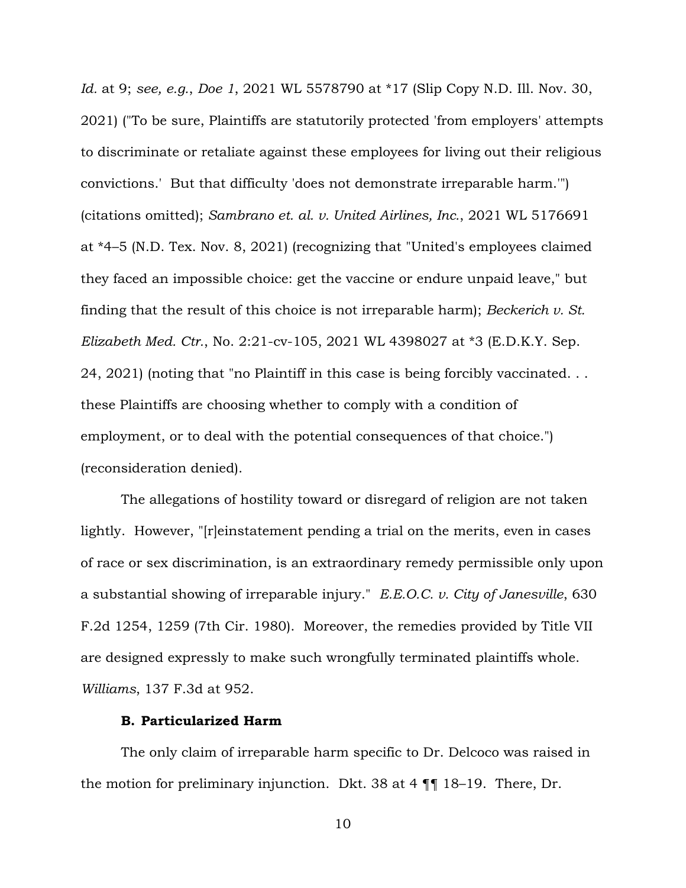*Id.* at 9; *see, e.g.*, *Doe 1*, 2021 WL 5578790 at \*17 (Slip Copy N.D. Ill. Nov. 30, 2021) ("To be sure, Plaintiffs are statutorily protected 'from employers' attempts to discriminate or retaliate against these employees for living out their religious convictions.' But that difficulty 'does not demonstrate irreparable harm.'") (citations omitted); *Sambrano et. al. v. United Airlines, Inc.*, 2021 WL 5176691 at \*4–5 (N.D. Tex. Nov. 8, 2021) (recognizing that "United's employees claimed they faced an impossible choice: get the vaccine or endure unpaid leave," but finding that the result of this choice is not irreparable harm); *Beckerich v. St. Elizabeth Med. Ctr.*, No. 2:21-cv-105, 2021 WL 4398027 at \*3 (E.D.K.Y. Sep. 24, 2021) (noting that "no Plaintiff in this case is being forcibly vaccinated. . . these Plaintiffs are choosing whether to comply with a condition of employment, or to deal with the potential consequences of that choice.") (reconsideration denied).

The allegations of hostility toward or disregard of religion are not taken lightly. However, "[r]einstatement pending a trial on the merits, even in cases of race or sex discrimination, is an extraordinary remedy permissible only upon a substantial showing of irreparable injury." *E.E.O.C. v. City of Janesville*, 630 F.2d 1254, 1259 (7th Cir. 1980). Moreover, the remedies provided by Title VII are designed expressly to make such wrongfully terminated plaintiffs whole. *Williams*, 137 F.3d at 952.

## **B. Particularized Harm**

The only claim of irreparable harm specific to Dr. Delcoco was raised in the motion for preliminary injunction. Dkt. 38 at 4 ¶¶ 18–19. There, Dr.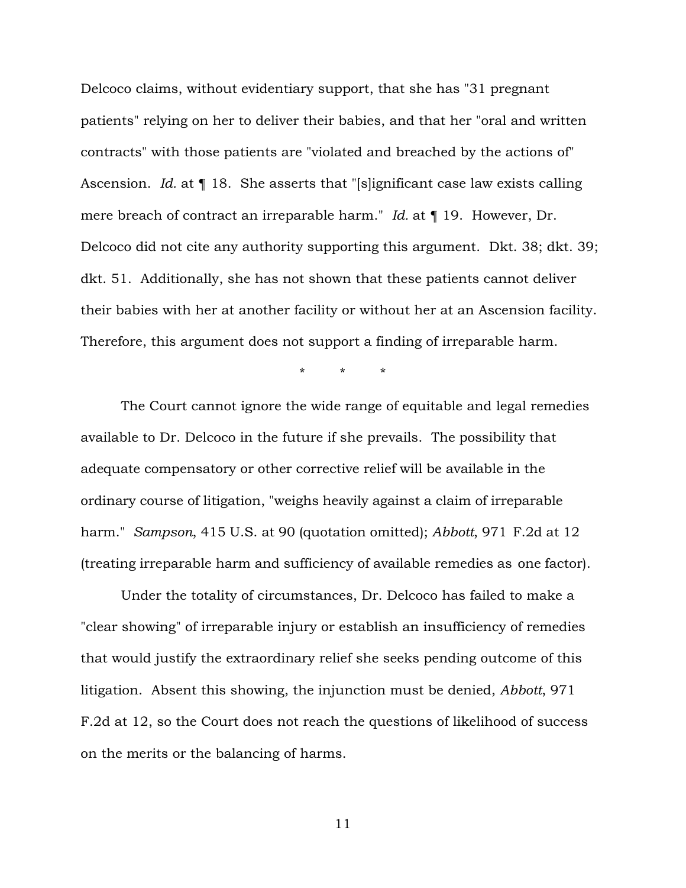Delcoco claims, without evidentiary support, that she has "31 pregnant patients" relying on her to deliver their babies, and that her "oral and written contracts" with those patients are "violated and breached by the actions of" Ascension. *Id.* at ¶ 18. She asserts that "[s]ignificant case law exists calling mere breach of contract an irreparable harm." *Id.* at ¶ 19. However, Dr. Delcoco did not cite any authority supporting this argument. Dkt. 38; dkt. 39; dkt. 51. Additionally, she has not shown that these patients cannot deliver their babies with her at another facility or without her at an Ascension facility. Therefore, this argument does not support a finding of irreparable harm.

\* \* \*

The Court cannot ignore the wide range of equitable and legal remedies available to Dr. Delcoco in the future if she prevails. The possibility that adequate compensatory or other corrective relief will be available in the ordinary course of litigation, "weighs heavily against a claim of irreparable harm." *Sampson*, [415 U.S. at 90](http://scholar.google.com/scholar?q=415%2Bu.s.%2B61&btnG&hl=en&as_sdt=6) (quotation omitted); *Abbott*, [971](http://scholar.google.com/scholar?q=971%2Bf.2d%2B6&btnG&hl=en&as_sdt=6) [F.2d at 12](http://scholar.google.com/scholar?q=971%2Bf.2d%2B6&btnG&hl=en&as_sdt=6) (treating irreparable harm and sufficiency of available remedies as one factor).

Under the totality of circumstances, Dr. Delcoco has failed to make a "clear showing" of irreparable injury or establish an insufficiency of remedies that would justify the extraordinary relief she seeks pending outcome of this litigation. Absent this showing, the injunction must be denied, *Abbott*, 971 F.2d at 12, so the Court does not reach the questions of likelihood of success on the merits or the balancing of harms.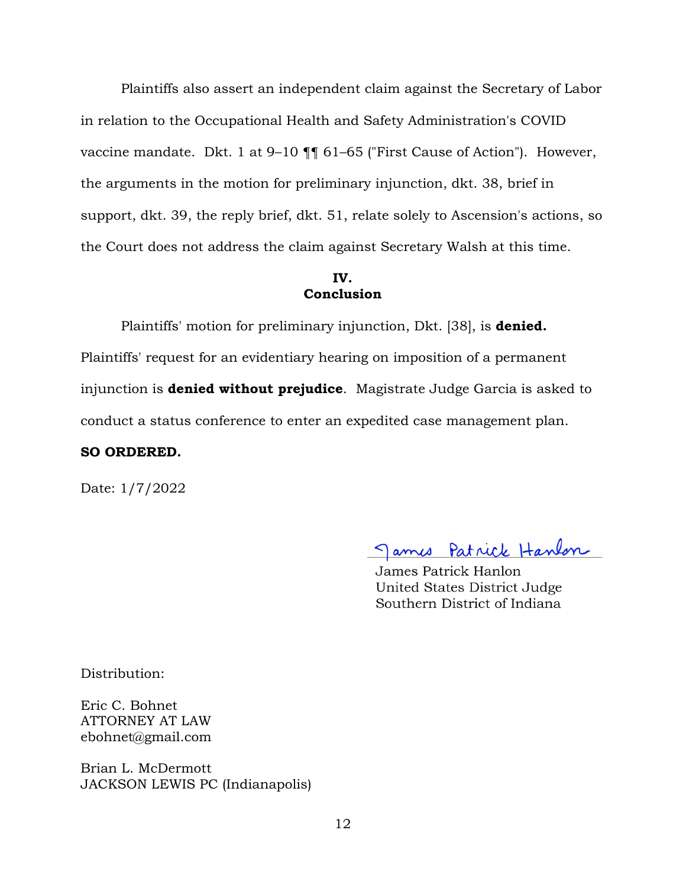Plaintiffs also assert an independent claim against the Secretary of Labor in relation to the Occupational Health and Safety Administration's COVID vaccine mandate. Dkt. 1 at 9-10  $\P\P$  61-65 ("First Cause of Action"). However, the arguments in the motion for preliminary injunction, dkt. 38, brief in support, dkt. 39, the reply brief, dkt. 51, relate solely to Ascension's actions, so the Court does not address the claim against Secretary Walsh at this time.

### **IV. Conclusion**

Plaintiffs' motion for preliminary injunction, Dkt. [38], is **denied.**  Plaintiffs' request for an evidentiary hearing on imposition of a permanent injunction is **denied without prejudice**. Magistrate Judge Garcia is asked to conduct a status conference to enter an expedited case management plan.

### **SO ORDERED.**

Date: 1/7/2022

James Patrick Hanlon

James Patrick Hanlon United States District Judge Southern District of Indiana

Distribution:

Eric C. Bohnet ATTORNEY AT LAW ebohnet@gmail.com

Brian L. McDermott JACKSON LEWIS PC (Indianapolis)